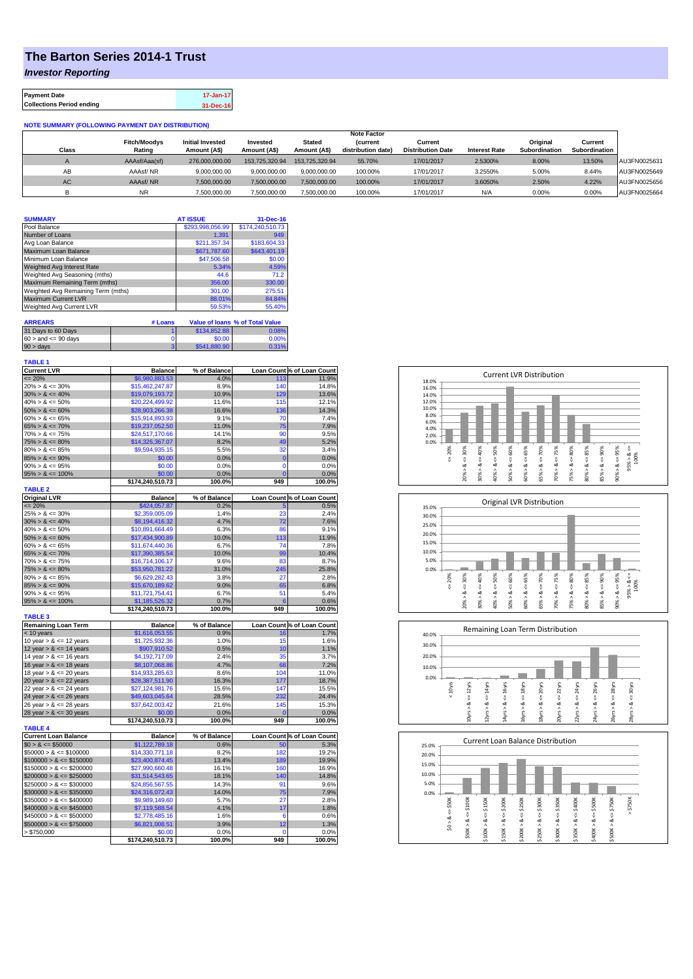## **The Barton Series 2014-1 Trust**

*Investor Reporting*

| <b>Payment Date</b>              | 17-Jan-17 |
|----------------------------------|-----------|
| <b>Collections Period ending</b> | 31-Dec-16 |

## **NOTE SUMMARY (FOLLOWING PAYMENT DAY DISTRIBUTION)**

|           |                     |                         |                |                | <b>Note Factor</b> |                          |                      |               |               |              |
|-----------|---------------------|-------------------------|----------------|----------------|--------------------|--------------------------|----------------------|---------------|---------------|--------------|
|           | <b>Fitch/Moodys</b> | <b>Initial Invested</b> | Invested       | Stated         | <b>Current</b>     | Current                  |                      | Original      | Current       |              |
| Class     | Rating              | Amount (A\$)            | Amount (A\$)   | Amount (A\$)   | distribution date) | <b>Distribution Date</b> | <b>Interest Rate</b> | Subordination | Subordination |              |
|           | AAAsf/Aaa(sf)       | 276,000,000,00          | 153.725.320.94 | 153,725,320,94 | 55.70%             | 17/01/2017               | 2.5300%              | 8.00%         | 13.50%        | AU3FN0025631 |
| AB        | AAAsf/NR            | 9,000,000.00            | 9.000.000.00   | 9.000.000.00   | 100.00%            | 17/01/2017               | 3.2550%              | 5.00%         | 8.44%         | AU3FN0025649 |
| <b>AC</b> | AAAsf/NR            | 7,500,000.00            | 7.500.000.00   | 7.500.000.00   | 100.00%            | 17/01/2017               | 3.6050%              | 2.50%         | 4.22%         | AU3FN0025656 |
|           | <b>NR</b>           | ,500,000.00             | 7.500.000.00   | 7,500,000.00   | 100.00%            | 17/01/2017               | N/A                  | 0.00%         | 0.00%         | AU3FN0025664 |

| <b>SUMMARY</b>                     | <b>AT ISSUE</b>  | 31-Dec-16                              |
|------------------------------------|------------------|----------------------------------------|
| Pool Balance                       | \$293.998.056.99 | \$174,240,510.73                       |
| Number of Loans                    | 1.391            | 949                                    |
| Avg Loan Balance                   | \$211.357.34     | \$183,604.33                           |
| Maximum Loan Balance               | \$671,787.60     | \$643,401.19                           |
| Minimum Loan Balance               | \$47,506.58      | \$0.00                                 |
| <b>Weighted Avg Interest Rate</b>  | 5.34%            | 4.59%                                  |
| Weighted Avg Seasoning (mths)      | 44.6             | 71.2                                   |
| Maximum Remaining Term (mths)      | 356.00           | 330.00                                 |
| Weighted Avg Remaining Term (mths) | 301.00           | 275.51                                 |
| <b>Maximum Current LVR</b>         | 88.01%           | 84.84%                                 |
| <b>Weighted Avg Current LVR</b>    | 59.53%           | 55.40%                                 |
| <b>ARREARS</b>                     | # Loans          | <b>Value of loans % of Total Value</b> |

| 31 Days to 60 Days        | \$134,852.88 | 0.08% |
|---------------------------|--------------|-------|
| $60 >$ and $\leq 90$ days | \$0.00       | 0.00% |
| $90 > \text{days}$        | \$541,880.90 | 0.31% |

| <b>TABLE 1</b>     |  |
|--------------------|--|
| <b>Current LVR</b> |  |

| <b>Current LVR</b>          | <b>Balance</b>             | % of Balance   |                | Loan Count % of Loan Count |
|-----------------------------|----------------------------|----------------|----------------|----------------------------|
| $= 20%$                     | \$6,980,883.53             | 4.0%           | 113            | 11.9%                      |
| $20\% > 8 \le 30\%$         | \$15,462,247.87            | 8.9%           | 140            | 14.8%                      |
| $30\% > 8 \le 40\%$         | \$19,079,193.72            | 10.9%          | 129            | 13.6%                      |
| $40\% > 8 \le 50\%$         | \$20,224,499.92            | 11.6%          | 115            | 12.1%                      |
| $50\% > 8 \le 60\%$         | \$28,903,266.38            | 16.6%          | 136            | 14.3%                      |
| $60\% > 8 \le 65\%$         | \$15,914,893.93            | 9.1%           | 70             | 7.4%                       |
| $65\% > 8 \le 70\%$         | \$19,237,052.50            | 11.0%          | 75             | 7.9%                       |
| $70\% > 8 \le 75\%$         | \$24,517,170.66            | 14.1%          | 90             | 9.5%                       |
| $75\% > 8 \le 80\%$         | \$14,326,367.07            | 8.2%           | 49             | 5.2%                       |
| $80\% > 8 \le 85\%$         | \$9,594,935.15             | 5.5%           | 32             | 3.4%                       |
| $85\% > 8 \le 90\%$         | \$0.00                     | 0.0%           | 0              | 0.0%                       |
| $90\% > 8 \le 95\%$         | \$0.00                     | 0.0%           | $\mathbf 0$    | 0.0%                       |
| $95\% > 8 \le 100\%$        | \$0.00                     | 0.0%           | $\overline{0}$ | 0.0%                       |
|                             | \$174,240,510.73           | 100.0%         | 949            | 100.0%                     |
| <b>TABLE 2</b>              |                            |                |                |                            |
| <b>Original LVR</b>         | <b>Balance</b>             | % of Balance   |                | Loan Count % of Loan Count |
| $= 20%$                     | \$424,057.87               | 0.2%           | 5              | 0.5%                       |
| $25\% > 8 \le 30\%$         | \$2,359,005.09             | 1.4%           | 23             | 2.4%                       |
| $30\% > 8 \le 40\%$         | \$8,194,416.32             | 4.7%           | 72             | 7.6%                       |
| $40\% > 8 \le 50\%$         | \$10,891,664.49            | 6.3%           | 86             | 9.1%                       |
| $50\% > 8 \le 60\%$         | \$17,434,900.89            | 10.0%          | 113            | 11.9%                      |
| $60\% > 8 \le 65\%$         | \$11,674,440.36            | 6.7%           | 74             | 7.8%                       |
| $65\% > 8 \le 70\%$         | \$17,390,385.54            | 10.0%          | 99             | 10.4%                      |
| $70\% > 8 \le 75\%$         | \$16,714,106.17            | 9.6%           | 83             | 8.7%                       |
| $75\% > 8 \le 80\%$         | \$53,950,781.22            | 31.0%          | 245            | 25.8%                      |
| $80\% > 8 \le 85\%$         | \$6,629,282.43             | 3.8%           | 27             | 2.8%                       |
| $85\% > 8 \le 90\%$         | \$15,670,189.62            | 9.0%           | 65             | 6.8%                       |
| $90\% > 8 \le 95\%$         | \$11,721,754.41            | 6.7%           | 51             | 5.4%                       |
| $95\% > 8 \le 100\%$        | \$1,185,526.32             | 0.7%           | 6              | 0.6%                       |
|                             | \$174,240,510.73           | 100.0%         | 949            | 100.0%                     |
| <b>TABLE 3</b>              |                            |                |                |                            |
| <b>Remaining Loan Term</b>  | <b>Balance</b>             | % of Balance   |                | Loan Count % of Loan Count |
| < 10 years                  | \$1,616,053.55             | 0.9%           | 16             | 1.7%                       |
| 10 year $> 8 \le 12$ years  | \$1,725,932.36             | 1.0%           | 15             | 1.6%                       |
| 12 year $> 8 \le 14$ years  | \$907,910.52               | 0.5%           | 10             | 1.1%                       |
| 14 year $> 8 \le 16$ years  | \$4,192,717.09             | 2.4%           | 35             | 3.7%                       |
| 16 year $> 8 \le 18$ years  | \$8,107,068.86             | 4.7%           | 68             | 7.2%                       |
| 18 year $> 8 \le 20$ years  | \$14,933,285.63            | 8.6%           | 104            | 11.0%                      |
| 20 year $> 8 \le 22$ years  | \$28,387,511.90            | 16.3%          | 177            | 18.7%                      |
| 22 year $> 8 \le 24$ years  | \$27,124,981.76            | 15.6%          | 147            | 15.5%                      |
| 24 year $> 8 \le 26$ years  | \$49,603,045.64            | 28.5%          | 232            | 24.4%                      |
| 26 year $> 8 \le 28$ years  | \$37,642,003.42            | 21.6%          | 145            | 15.3%                      |
| 28 year $> 8 \le 30$ years  | \$0.00                     | 0.0%           | 0              | 0.0%                       |
|                             | \$174,240,510.73           | 100.0%         | 949            | 100.0%                     |
| <b>TABLE 4</b>              |                            |                |                |                            |
| <b>Current Loan Balance</b> | <b>Balance</b>             | % of Balance   |                | Loan Count % of Loan Count |
| $$0 > 8 \le $50000$         | \$1,122,789.18             | 0.6%           | 50             | 5.3%                       |
| $$50000 > 8 \leq $100000$   |                            |                |                | 19.2%                      |
| $$100000 > 8 \leq $150000$  |                            |                |                |                            |
|                             | \$14,330,771.18            | 8.2%           | 182            |                            |
|                             | \$23,400,874.45            | 13.4%          | 189            | 19.9%                      |
| $$150000 > 8 \le $200000$   | \$27,990,660.48            | 16.1%          | 160            | 16.9%                      |
| $$200000 > 8 \leq $250000$  | \$31,514,543.65            | 18.1%          | 140            | 14.8%                      |
| $$250000 > 8 \leq $300000$  | \$24,856,567,55            | 14.3%          | 91             | 9.6%                       |
| $$300000 > 8 \leq $350000$  | \$24,316,072.43            | 14.0%          | 75             | 7.9%                       |
| $$350000 > 8 \leq $400000$  | \$9,989,149.60             | 5.7%           | 27             | 2.8%                       |
| $$400000 > 8 \leq $450000$  | \$7,119,588.54             | 4.1%           | 17             | 1.8%                       |
| $$450000 > 8 \le $500000$   | \$2,778,485.16             | 1.6%           | 6              | 0.6%                       |
| $$500000 > 8 \leq $750000$  | \$6,821,008.51             | 3.9%           | 12             | 1.3%                       |
| > \$750,000                 | \$0.00<br>\$174,240,510.73 | 0.0%<br>100.0% | 0<br>949       | 0.0%<br>100.0%             |